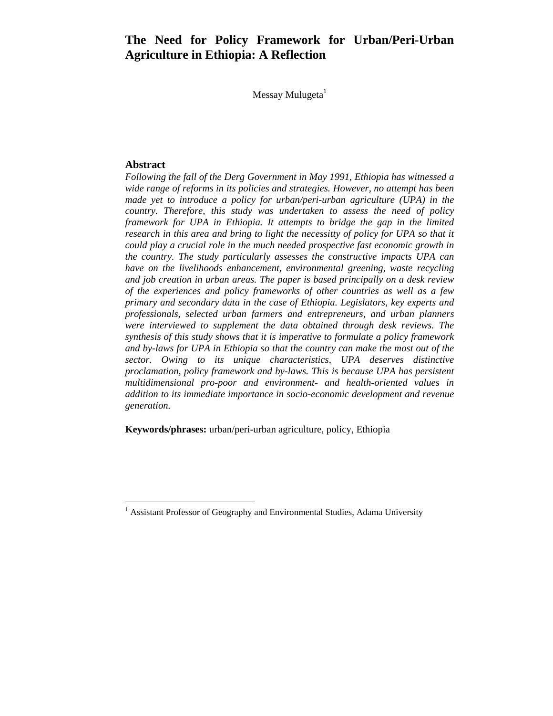# **The Need for Policy Framework for Urban/Peri-Urban Agriculture in Ethiopia: A Reflection**

Messay Mulugeta $<sup>1</sup>$ </sup>

#### **Abstract**

1

*Following the fall of the Derg Government in May 1991, Ethiopia has witnessed a wide range of reforms in its policies and strategies. However, no attempt has been made yet to introduce a policy for urban/peri-urban agriculture (UPA) in the country. Therefore, this study was undertaken to assess the need of policy framework for UPA in Ethiopia. It attempts to bridge the gap in the limited research in this area and bring to light the necessitty of policy for UPA so that it* could play a crucial role in the much needed prospective fast economic growth in *the country. The study particularly assesses the constructive impacts UPA can have on the livelihoods enhancement, environmental greening, waste recycling and job creation in urban areas. The paper is based principally on a desk review of the experiences and policy frameworks of other countries as well as a few primary and secondary data in the case of Ethiopia. Legislators, key experts and professionals, selected urban farmers and entrepreneurs, and urban planners were interviewed to supplement the data obtained through desk reviews. The synthesis of this study shows that it is imperative to formulate a policy framework and by-laws for UPA in Ethiopia so that the country can make the most out of the sector. Owing to its unique characteristics, UPA deserves distinctive proclamation, policy framework and by-laws. This is because UPA has persistent multidimensional pro-poor and environment- and health-oriented values in addition to its immediate importance in socio-economic development and revenue generation.* 

**Keywords/phrases:** urban/peri-urban agriculture, policy, Ethiopia

<sup>&</sup>lt;sup>1</sup> Assistant Professor of Geography and Environmental Studies, Adama University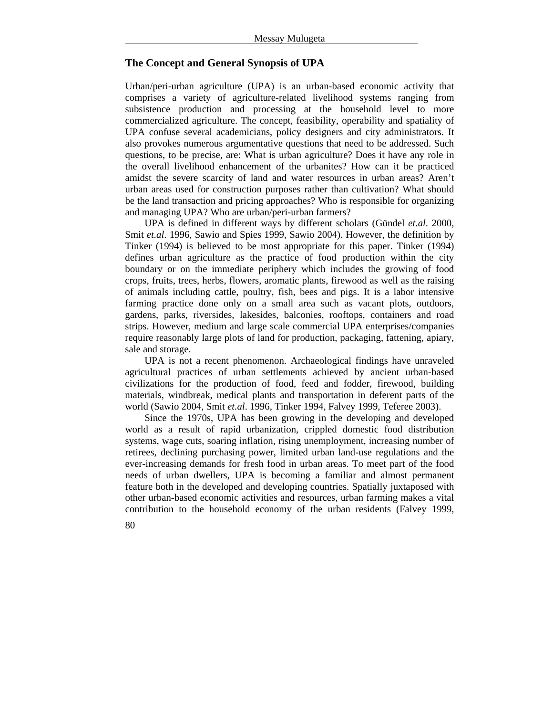## **The Concept and General Synopsis of UPA**

Urban/peri-urban agriculture (UPA) is an urban-based economic activity that comprises a variety of agriculture-related livelihood systems ranging from subsistence production and processing at the household level to more commercialized agriculture. The concept, feasibility, operability and spatiality of UPA confuse several academicians, policy designers and city administrators. It also provokes numerous argumentative questions that need to be addressed. Such questions, to be precise, are: What is urban agriculture? Does it have any role in the overall livelihood enhancement of the urbanites? How can it be practiced amidst the severe scarcity of land and water resources in urban areas? Aren't urban areas used for construction purposes rather than cultivation? What should be the land transaction and pricing approaches? Who is responsible for organizing and managing UPA? Who are urban/peri-urban farmers?

UPA is defined in different ways by different scholars (Gündel *et.al*. 2000, Smit *et.al*. 1996, Sawio and Spies 1999, Sawio 2004). However, the definition by Tinker (1994) is believed to be most appropriate for this paper. Tinker (1994) defines urban agriculture as the practice of food production within the city boundary or on the immediate periphery which includes the growing of food crops, fruits, trees, herbs, flowers, aromatic plants, firewood as well as the raising of animals including cattle, poultry, fish, bees and pigs. It is a labor intensive farming practice done only on a small area such as vacant plots, outdoors, gardens, parks, riversides, lakesides, balconies, rooftops, containers and road strips. However, medium and large scale commercial UPA enterprises/companies require reasonably large plots of land for production, packaging, fattening, apiary, sale and storage.

UPA is not a recent phenomenon. Archaeological findings have unraveled agricultural practices of urban settlements achieved by ancient urban-based civilizations for the production of food, feed and fodder, firewood, building materials, windbreak, medical plants and transportation in deferent parts of the world (Sawio 2004, Smit *et.al*. 1996, Tinker 1994, Falvey 1999, Teferee 2003).

Since the 1970s, UPA has been growing in the developing and developed world as a result of rapid urbanization, crippled domestic food distribution systems, wage cuts, soaring inflation, rising unemployment, increasing number of retirees, declining purchasing power, limited urban land-use regulations and the ever-increasing demands for fresh food in urban areas. To meet part of the food needs of urban dwellers, UPA is becoming a familiar and almost permanent feature both in the developed and developing countries. Spatially juxtaposed with other urban-based economic activities and resources, urban farming makes a vital contribution to the household economy of the urban residents (Falvey 1999,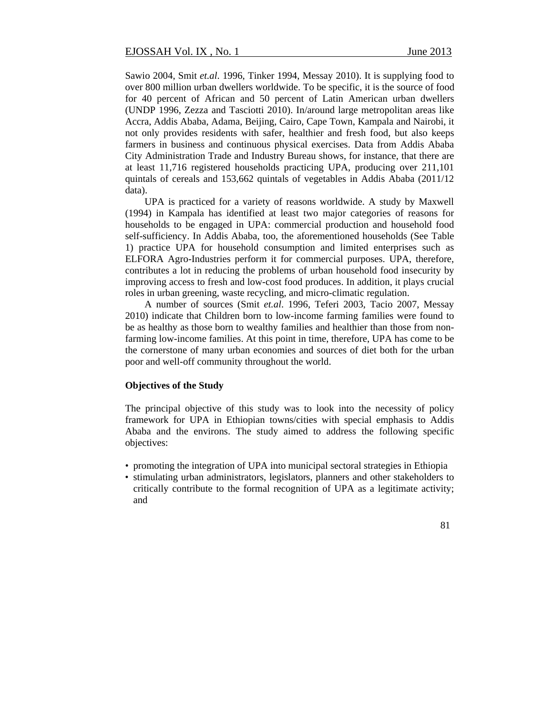Sawio 2004, Smit *et.al*. 1996, Tinker 1994, Messay 2010). It is supplying food to over 800 million urban dwellers worldwide. To be specific, it is the source of food for 40 percent of African and 50 percent of Latin American urban dwellers (UNDP 1996, Zezza and Tasciotti 2010). In/around large metropolitan areas like Accra, Addis Ababa, Adama, Beijing, Cairo, Cape Town, Kampala and Nairobi, it not only provides residents with safer, healthier and fresh food, but also keeps farmers in business and continuous physical exercises. Data from Addis Ababa City Administration Trade and Industry Bureau shows, for instance, that there are at least 11,716 registered households practicing UPA, producing over 211,101 quintals of cereals and 153,662 quintals of vegetables in Addis Ababa (2011/12 data).

UPA is practiced for a variety of reasons worldwide. A study by Maxwell (1994) in Kampala has identified at least two major categories of reasons for households to be engaged in UPA: commercial production and household food self-sufficiency. In Addis Ababa, too, the aforementioned households (See Table 1) practice UPA for household consumption and limited enterprises such as ELFORA Agro-Industries perform it for commercial purposes. UPA, therefore, contributes a lot in reducing the problems of urban household food insecurity by improving access to fresh and low-cost food produces. In addition, it plays crucial roles in urban greening, waste recycling, and micro-climatic regulation.

A number of sources (Smit *et.al*. 1996, Teferi 2003, Tacio 2007, Messay 2010) indicate that Children born to low-income farming families were found to be as healthy as those born to wealthy families and healthier than those from nonfarming low-income families. At this point in time, therefore, UPA has come to be the cornerstone of many urban economies and sources of diet both for the urban poor and well-off community throughout the world.

#### **Objectives of the Study**

The principal objective of this study was to look into the necessity of policy framework for UPA in Ethiopian towns/cities with special emphasis to Addis Ababa and the environs. The study aimed to address the following specific objectives:

- promoting the integration of UPA into municipal sectoral strategies in Ethiopia
- stimulating urban administrators, legislators, planners and other stakeholders to critically contribute to the formal recognition of UPA as a legitimate activity; and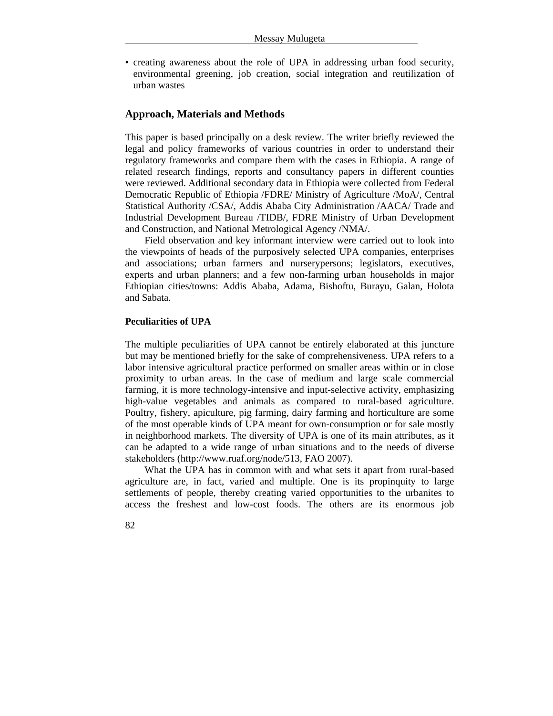• creating awareness about the role of UPA in addressing urban food security, environmental greening, job creation, social integration and reutilization of urban wastes

#### **Approach, Materials and Methods**

This paper is based principally on a desk review. The writer briefly reviewed the legal and policy frameworks of various countries in order to understand their regulatory frameworks and compare them with the cases in Ethiopia. A range of related research findings, reports and consultancy papers in different counties were reviewed. Additional secondary data in Ethiopia were collected from Federal Democratic Republic of Ethiopia /FDRE/ Ministry of Agriculture /MoA/, Central Statistical Authority /CSA/, Addis Ababa City Administration /AACA/ Trade and Industrial Development Bureau /TIDB/, FDRE Ministry of Urban Development and Construction, and National Metrological Agency /NMA/.

Field observation and key informant interview were carried out to look into the viewpoints of heads of the purposively selected UPA companies, enterprises and associations; urban farmers and nurserypersons; legislators, executives, experts and urban planners; and a few non-farming urban households in major Ethiopian cities/towns: Addis Ababa, Adama, Bishoftu, Burayu, Galan, Holota and Sabata.

#### **Peculiarities of UPA**

The multiple peculiarities of UPA cannot be entirely elaborated at this juncture but may be mentioned briefly for the sake of comprehensiveness. UPA refers to a labor intensive agricultural practice performed on smaller areas within or in close proximity to urban areas. In the case of medium and large scale commercial farming, it is more technology-intensive and input-selective activity, emphasizing high-value vegetables and animals as compared to rural-based agriculture. Poultry, fishery, apiculture, pig farming, dairy farming and horticulture are some of the most operable kinds of UPA meant for own-consumption or for sale mostly in neighborhood markets. The diversity of UPA is one of its main attributes, as it can be adapted to a wide range of urban situations and to the needs of diverse stakeholders (http://www.ruaf.org/node/513, FAO 2007).

What the UPA has in common with and what sets it apart from rural-based agriculture are, in fact, varied and multiple. One is its propinquity to large settlements of people, thereby creating varied opportunities to the urbanites to access the freshest and low-cost foods. The others are its enormous job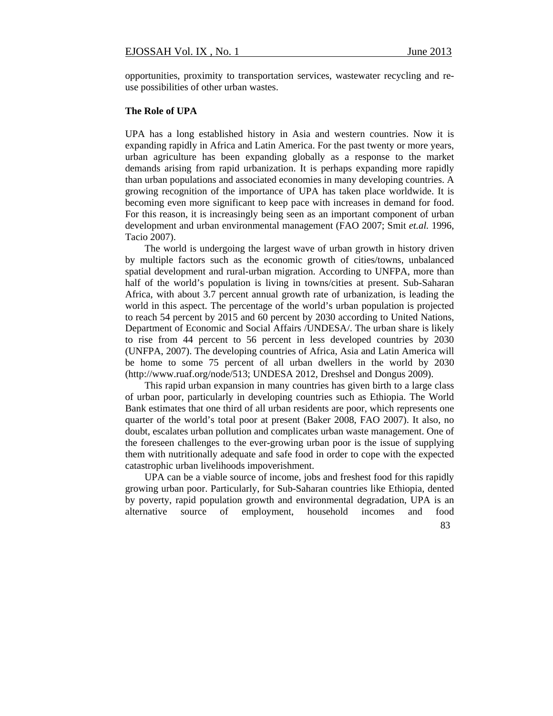opportunities, proximity to transportation services, wastewater recycling and reuse possibilities of other urban wastes.

#### **The Role of UPA**

UPA has a long established history in Asia and western countries. Now it is expanding rapidly in Africa and Latin America. For the past twenty or more years, urban agriculture has been expanding globally as a response to the market demands arising from rapid urbanization. It is perhaps expanding more rapidly than urban populations and associated economies in many developing countries. A growing recognition of the importance of UPA has taken place worldwide. It is becoming even more significant to keep pace with increases in demand for food. For this reason, it is increasingly being seen as an important component of urban development and urban environmental management (FAO 2007; Smit *et.al.* 1996, Tacio 2007).

The world is undergoing the largest wave of urban growth in history driven by multiple factors such as the economic growth of cities/towns, unbalanced spatial development and rural-urban migration. According to UNFPA, more than half of the world's population is living in towns/cities at present. Sub-Saharan Africa, with about 3.7 percent annual growth rate of urbanization, is leading the world in this aspect. The percentage of the world's urban population is projected to reach 54 percent by 2015 and 60 percent by 2030 according to United Nations, Department of Economic and Social Affairs /UNDESA/. The urban share is likely to rise from 44 percent to 56 percent in less developed countries by 2030 (UNFPA, 2007). The developing countries of Africa, Asia and Latin America will be home to some 75 percent of all urban dwellers in the world by 2030 (http://www.ruaf.org/node/513; UNDESA 2012, Dreshsel and Dongus 2009).

This rapid urban expansion in many countries has given birth to a large class of urban poor, particularly in developing countries such as Ethiopia. The World Bank estimates that one third of all urban residents are poor, which represents one quarter of the world's total poor at present (Baker 2008, FAO 2007). It also, no doubt, escalates urban pollution and complicates urban waste management. One of the foreseen challenges to the ever-growing urban poor is the issue of supplying them with nutritionally adequate and safe food in order to cope with the expected catastrophic urban livelihoods impoverishment.

UPA can be a viable source of income, jobs and freshest food for this rapidly growing urban poor. Particularly, for Sub-Saharan countries like Ethiopia, dented by poverty, rapid population growth and environmental degradation, UPA is an alternative source of employment, household incomes and food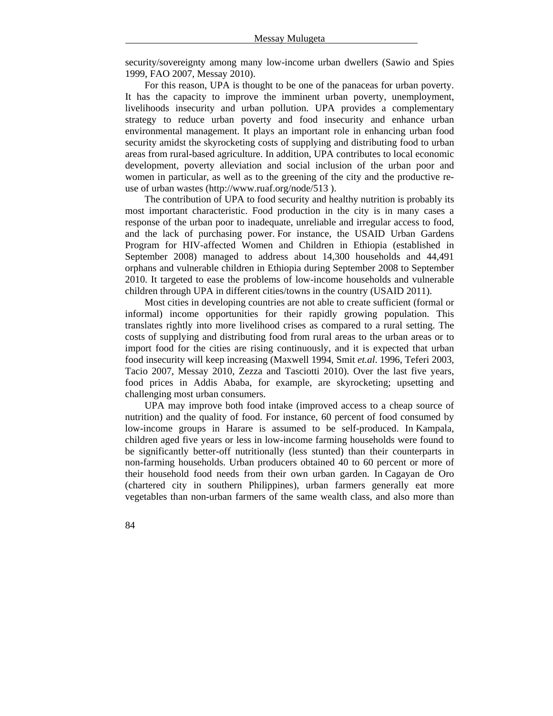security/sovereignty among many low-income urban dwellers (Sawio and Spies 1999, FAO 2007, Messay 2010).

For this reason, UPA is thought to be one of the panaceas for urban poverty. It has the capacity to improve the imminent urban poverty, unemployment, livelihoods insecurity and urban pollution. UPA provides a complementary strategy to reduce urban poverty and food insecurity and enhance urban environmental management. It plays an important role in enhancing urban food security amidst the skyrocketing costs of supplying and distributing food to urban areas from rural-based agriculture. In addition, UPA contributes to local economic development, poverty alleviation and social inclusion of the urban poor and women in particular, as well as to the greening of the city and the productive reuse of urban wastes (http://www.ruaf.org/node/513 ).

The contribution of UPA to food security and healthy nutrition is probably its most important characteristic. Food production in the city is in many cases a response of the urban poor to inadequate, unreliable and irregular access to food, and the lack of purchasing power. For instance, the USAID Urban Gardens Program for HIV-affected Women and Children in Ethiopia (established in September 2008) managed to address about 14,300 households and 44,491 orphans and vulnerable children in Ethiopia during September 2008 to September 2010. It targeted to ease the problems of low-income households and vulnerable children through UPA in different cities/towns in the country (USAID 2011).

Most cities in developing countries are not able to create sufficient (formal or informal) income opportunities for their rapidly growing population. This translates rightly into more livelihood crises as compared to a rural setting. The costs of supplying and distributing food from rural areas to the urban areas or to import food for the cities are rising continuously, and it is expected that urban food insecurity will keep increasing (Maxwell 1994, Smit *et.al*. 1996, Teferi 2003, Tacio 2007, Messay 2010, Zezza and Tasciotti 2010). Over the last five years, food prices in Addis Ababa, for example, are skyrocketing; upsetting and challenging most urban consumers.

UPA may improve both food intake (improved access to a cheap source of nutrition) and the quality of food. For instance, 60 percent of food consumed by low-income groups in Harare is assumed to be self-produced. In Kampala, children aged five years or less in low-income farming households were found to be significantly better-off nutritionally (less stunted) than their counterparts in non-farming households. Urban producers obtained 40 to 60 percent or more of their household food needs from their own urban garden. In Cagayan de Oro (chartered city in southern Philippines), urban farmers generally eat more vegetables than non-urban farmers of the same wealth class, and also more than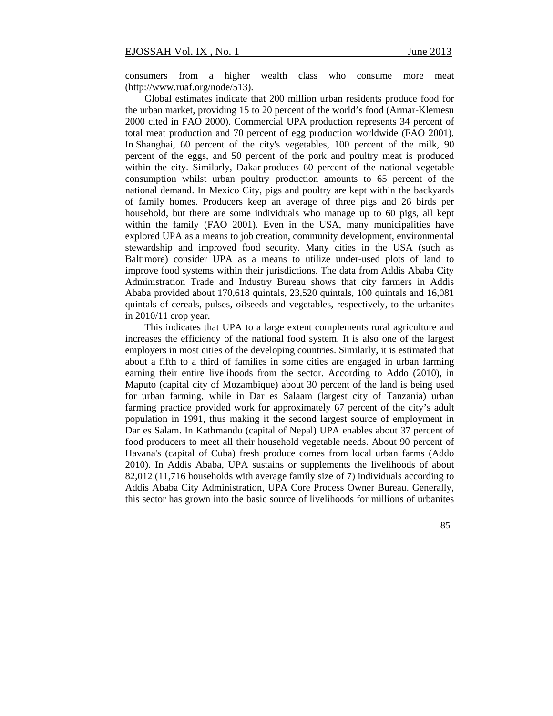consumers from a higher wealth class who consume more meat (http://www.ruaf.org/node/513).

Global estimates indicate that 200 million urban residents produce food for the urban market, providing 15 to 20 percent of the world's food (Armar-Klemesu 2000 cited in FAO 2000). Commercial UPA production represents 34 percent of total meat production and 70 percent of egg production worldwide (FAO 2001). In Shanghai, 60 percent of the city's vegetables, 100 percent of the milk, 90 percent of the eggs, and 50 percent of the pork and poultry meat is produced within the city. Similarly, Dakar produces 60 percent of the national vegetable consumption whilst urban poultry production amounts to 65 percent of the national demand. In Mexico City, pigs and poultry are kept within the backyards of family homes. Producers keep an average of three pigs and 26 birds per household, but there are some individuals who manage up to 60 pigs, all kept within the family (FAO 2001). Even in the USA, many municipalities have explored UPA as a means to job creation, community development, environmental stewardship and improved food security. Many cities in the USA (such as Baltimore) consider UPA as a means to utilize under-used plots of land to improve food systems within their jurisdictions. The data from Addis Ababa City Administration Trade and Industry Bureau shows that city farmers in Addis Ababa provided about 170,618 quintals, 23,520 quintals, 100 quintals and 16,081 quintals of cereals, pulses, oilseeds and vegetables, respectively, to the urbanites in 2010/11 crop year.

This indicates that UPA to a large extent complements rural agriculture and increases the efficiency of the national food system. It is also one of the largest employers in most cities of the developing countries. Similarly, it is estimated that about a fifth to a third of families in some cities are engaged in urban farming earning their entire livelihoods from the sector. According to Addo (2010), in Maputo (capital city of Mozambique) about 30 percent of the land is being used for urban farming, while in Dar es Salaam (largest city of Tanzania) urban farming practice provided work for approximately 67 percent of the city's adult population in 1991, thus making it the second largest source of employment in Dar es Salam. In Kathmandu (capital of Nepal) UPA enables about 37 percent of food producers to meet all their household vegetable needs. About 90 percent of Havana's (capital of Cuba) fresh produce comes from local urban farms (Addo 2010). In Addis Ababa, UPA sustains or supplements the livelihoods of about 82,012 (11,716 households with average family size of 7) individuals according to Addis Ababa City Administration, UPA Core Process Owner Bureau. Generally, this sector has grown into the basic source of livelihoods for millions of urbanites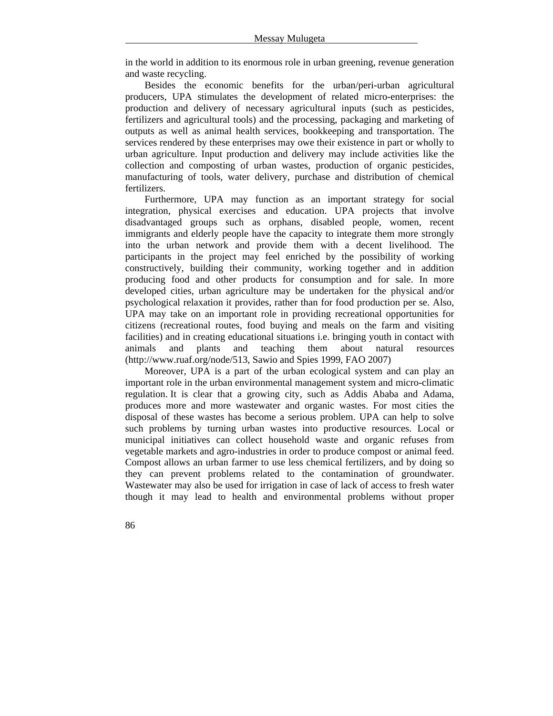in the world in addition to its enormous role in urban greening, revenue generation and waste recycling.

Besides the economic benefits for the urban/peri-urban agricultural producers, UPA stimulates the development of related micro-enterprises: the production and delivery of necessary agricultural inputs (such as pesticides, fertilizers and agricultural tools) and the processing, packaging and marketing of outputs as well as animal health services, bookkeeping and transportation. The services rendered by these enterprises may owe their existence in part or wholly to urban agriculture. Input production and delivery may include activities like the collection and composting of urban wastes, production of organic pesticides, manufacturing of tools, water delivery, purchase and distribution of chemical fertilizers.

Furthermore, UPA may function as an important strategy for social integration, physical exercises and education. UPA projects that involve disadvantaged groups such as orphans, disabled people, women, recent immigrants and elderly people have the capacity to integrate them more strongly into the urban network and provide them with a decent livelihood. The participants in the project may feel enriched by the possibility of working constructively, building their community, working together and in addition producing food and other products for consumption and for sale. In more developed cities, urban agriculture may be undertaken for the physical and/or psychological relaxation it provides, rather than for food production per se. Also, UPA may take on an important role in providing recreational opportunities for citizens (recreational routes, food buying and meals on the farm and visiting facilities) and in creating educational situations i.e. bringing youth in contact with animals and plants and teaching them about natural resources (http://www.ruaf.org/node/513, Sawio and Spies 1999, FAO 2007)

Moreover, UPA is a part of the urban ecological system and can play an important role in the urban environmental management system and micro-climatic regulation. It is clear that a growing city, such as Addis Ababa and Adama, produces more and more wastewater and organic wastes. For most cities the disposal of these wastes has become a serious problem. UPA can help to solve such problems by turning urban wastes into productive resources. Local or municipal initiatives can collect household waste and organic refuses from vegetable markets and agro-industries in order to produce compost or animal feed. Compost allows an urban farmer to use less chemical fertilizers, and by doing so they can prevent problems related to the contamination of groundwater. Wastewater may also be used for irrigation in case of lack of access to fresh water though it may lead to health and environmental problems without proper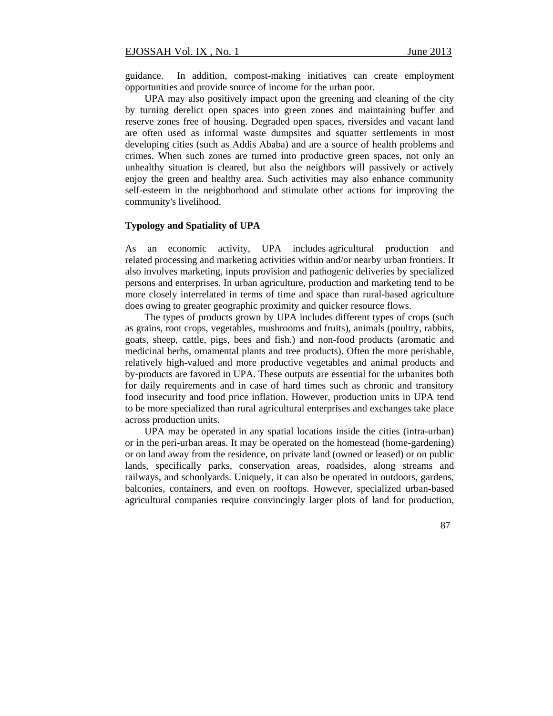guidance. In addition, compost-making initiatives can create employment opportunities and provide source of income for the urban poor.

UPA may also positively impact upon the greening and cleaning of the city by turning derelict open spaces into green zones and maintaining buffer and reserve zones free of housing. Degraded open spaces, riversides and vacant land are often used as informal waste dumpsites and squatter settlements in most developing cities (such as Addis Ababa) and are a source of health problems and crimes. When such zones are turned into productive green spaces, not only an unhealthy situation is cleared, but also the neighbors will passively or actively enjoy the green and healthy area. Such activities may also enhance community self-esteem in the neighborhood and stimulate other actions for improving the community's livelihood.

#### **Typology and Spatiality of UPA**

As an economic activity, UPA includes agricultural production and related processing and marketing activities within and/or nearby urban frontiers. It also involves marketing, inputs provision and pathogenic deliveries by specialized persons and enterprises. In urban agriculture, production and marketing tend to be more closely interrelated in terms of time and space than rural-based agriculture does owing to greater geographic proximity and quicker resource flows.

The types of products grown by UPA includes different types of crops (such as grains, root crops, vegetables, mushrooms and fruits), animals (poultry, rabbits, goats, sheep, cattle, pigs, bees and fish.) and non-food products (aromatic and medicinal herbs, ornamental plants and tree products). Often the more perishable, relatively high-valued and more productive vegetables and animal products and by-products are favored in UPA. These outputs are essential for the urbanites both for daily requirements and in case of hard times such as chronic and transitory food insecurity and food price inflation. However, production units in UPA tend to be more specialized than rural agricultural enterprises and exchanges take place across production units.

UPA may be operated in any spatial locations inside the cities (intra-urban) or in the peri-urban areas. It may be operated on the homestead (home-gardening) or on land away from the residence, on private land (owned or leased) or on public lands, specifically parks, conservation areas, roadsides, along streams and railways, and schoolyards. Uniquely, it can also be operated in outdoors, gardens, balconies, containers, and even on rooftops. However, specialized urban-based agricultural companies require convincingly larger plots of land for production,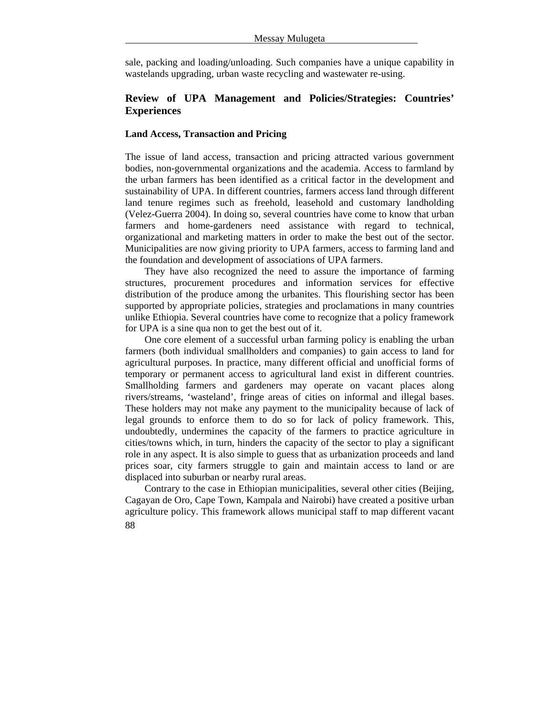sale, packing and loading/unloading. Such companies have a unique capability in wastelands upgrading, urban waste recycling and wastewater re-using.

## **Review of UPA Management and Policies/Strategies: Countries' Experiences**

## **Land Access, Transaction and Pricing**

The issue of land access, transaction and pricing attracted various government bodies, non-governmental organizations and the academia. Access to farmland by the urban farmers has been identified as a critical factor in the development and sustainability of UPA. In different countries, farmers access land through different land tenure regimes such as freehold, leasehold and customary landholding (Velez-Guerra 2004). In doing so, several countries have come to know that urban farmers and home-gardeners need assistance with regard to technical, organizational and marketing matters in order to make the best out of the sector. Municipalities are now giving priority to UPA farmers, access to farming land and the foundation and development of associations of UPA farmers.

They have also recognized the need to assure the importance of farming structures, procurement procedures and information services for effective distribution of the produce among the urbanites. This flourishing sector has been supported by appropriate policies, strategies and proclamations in many countries unlike Ethiopia. Several countries have come to recognize that a policy framework for UPA is a sine qua non to get the best out of it.

One core element of a successful urban farming policy is enabling the urban farmers (both individual smallholders and companies) to gain access to land for agricultural purposes. In practice, many different official and unofficial forms of temporary or permanent access to agricultural land exist in different countries. Smallholding farmers and gardeners may operate on vacant places along rivers/streams, 'wasteland', fringe areas of cities on informal and illegal bases. These holders may not make any payment to the municipality because of lack of legal grounds to enforce them to do so for lack of policy framework. This, undoubtedly, undermines the capacity of the farmers to practice agriculture in cities/towns which, in turn, hinders the capacity of the sector to play a significant role in any aspect. It is also simple to guess that as urbanization proceeds and land prices soar, city farmers struggle to gain and maintain access to land or are displaced into suburban or nearby rural areas.

88 Contrary to the case in Ethiopian municipalities, several other cities (Beijing, Cagayan de Oro, Cape Town, Kampala and Nairobi) have created a positive urban agriculture policy. This framework allows municipal staff to map different vacant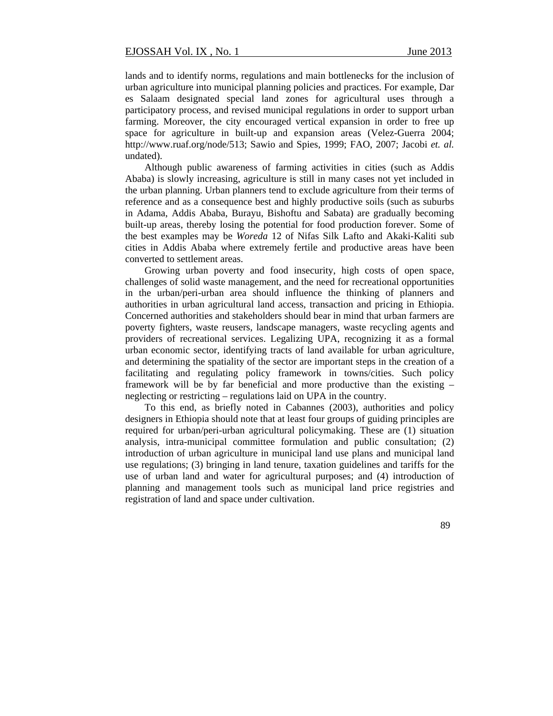lands and to identify norms, regulations and main bottlenecks for the inclusion of urban agriculture into municipal planning policies and practices. For example, Dar es Salaam designated special land zones for agricultural uses through a participatory process, and revised municipal regulations in order to support urban farming. Moreover, the city encouraged vertical expansion in order to free up space for agriculture in built-up and expansion areas (Velez-Guerra 2004; http://www.ruaf.org/node/513; Sawio and Spies, 1999; FAO, 2007; Jacobi *et. al.* undated).

Although public awareness of farming activities in cities (such as Addis Ababa) is slowly increasing, agriculture is still in many cases not yet included in the urban planning. Urban planners tend to exclude agriculture from their terms of reference and as a consequence best and highly productive soils (such as suburbs in Adama, Addis Ababa, Burayu, Bishoftu and Sabata) are gradually becoming built-up areas, thereby losing the potential for food production forever. Some of the best examples may be *Woreda* 12 of Nifas Silk Lafto and Akaki-Kaliti sub cities in Addis Ababa where extremely fertile and productive areas have been converted to settlement areas.

Growing urban poverty and food insecurity, high costs of open space, challenges of solid waste management, and the need for recreational opportunities in the urban/peri-urban area should influence the thinking of planners and authorities in urban agricultural land access, transaction and pricing in Ethiopia. Concerned authorities and stakeholders should bear in mind that urban farmers are poverty fighters, waste reusers, landscape managers, waste recycling agents and providers of recreational services. Legalizing UPA, recognizing it as a formal urban economic sector, identifying tracts of land available for urban agriculture, and determining the spatiality of the sector are important steps in the creation of a facilitating and regulating policy framework in towns/cities. Such policy framework will be by far beneficial and more productive than the existing – neglecting or restricting – regulations laid on UPA in the country.

To this end, as briefly noted in Cabannes (2003), authorities and policy designers in Ethiopia should note that at least four groups of guiding principles are required for urban/peri-urban agricultural policymaking. These are (1) situation analysis, intra-municipal committee formulation and public consultation; (2) introduction of urban agriculture in municipal land use plans and municipal land use regulations; (3) bringing in land tenure, taxation guidelines and tariffs for the use of urban land and water for agricultural purposes; and (4) introduction of planning and management tools such as municipal land price registries and registration of land and space under cultivation.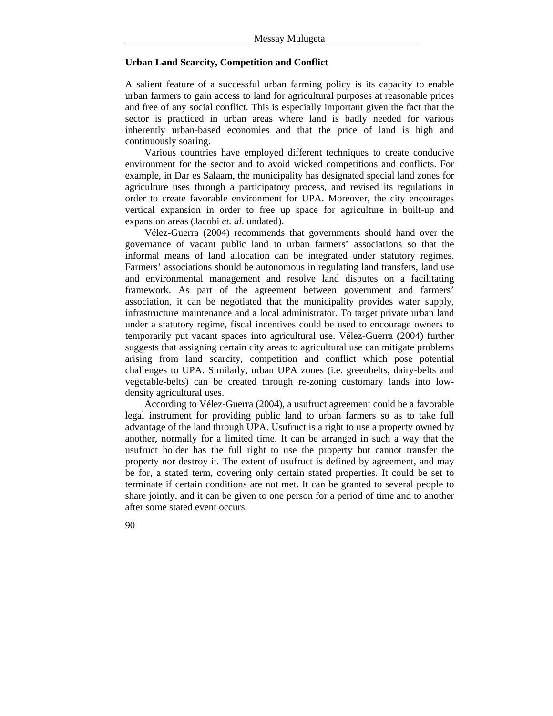#### **Urban Land Scarcity, Competition and Conflict**

A salient feature of a successful urban farming policy is its capacity to enable urban farmers to gain access to land for agricultural purposes at reasonable prices and free of any social conflict. This is especially important given the fact that the sector is practiced in urban areas where land is badly needed for various inherently urban-based economies and that the price of land is high and continuously soaring.

Various countries have employed different techniques to create conducive environment for the sector and to avoid wicked competitions and conflicts. For example, in Dar es Salaam, the municipality has designated special land zones for agriculture uses through a participatory process, and revised its regulations in order to create favorable environment for UPA. Moreover, the city encourages vertical expansion in order to free up space for agriculture in built-up and expansion areas (Jacobi *et. al.* undated).

Vélez-Guerra (2004) recommends that governments should hand over the governance of vacant public land to urban farmers' associations so that the informal means of land allocation can be integrated under statutory regimes. Farmers' associations should be autonomous in regulating land transfers, land use and environmental management and resolve land disputes on a facilitating framework. As part of the agreement between government and farmers' association, it can be negotiated that the municipality provides water supply, infrastructure maintenance and a local administrator. To target private urban land under a statutory regime, fiscal incentives could be used to encourage owners to temporarily put vacant spaces into agricultural use. Vélez-Guerra (2004) further suggests that assigning certain city areas to agricultural use can mitigate problems arising from land scarcity, competition and conflict which pose potential challenges to UPA. Similarly, urban UPA zones (i.e. greenbelts, dairy-belts and vegetable-belts) can be created through re-zoning customary lands into lowdensity agricultural uses.

According to Vélez-Guerra (2004), a usufruct agreement could be a favorable legal instrument for providing public land to urban farmers so as to take full advantage of the land through UPA. Usufruct is a right to use a property owned by another, normally for a limited time. It can be arranged in such a way that the usufruct holder has the full right to use the property but cannot transfer the property nor destroy it. The extent of usufruct is defined by agreement, and may be for, a stated term, covering only certain stated properties. It could be set to terminate if certain conditions are not met. It can be granted to several people to share jointly, and it can be given to one person for a period of time and to another after some stated event occurs.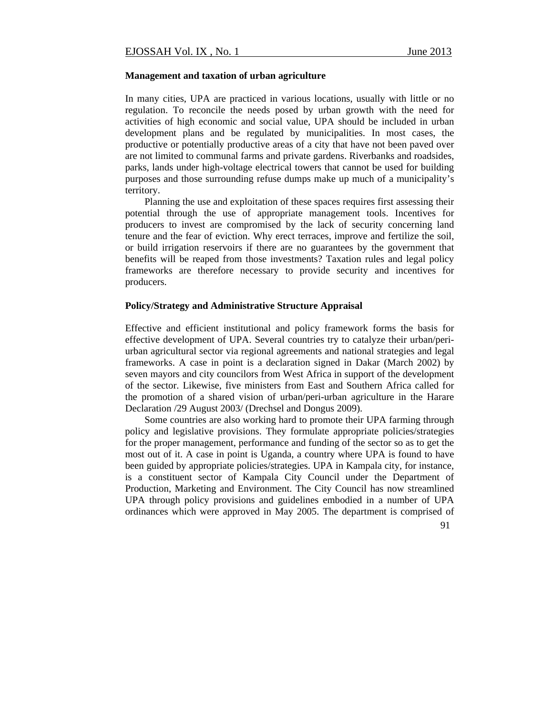#### **Management and taxation of urban agriculture**

In many cities, UPA are practiced in various locations, usually with little or no regulation. To reconcile the needs posed by urban growth with the need for activities of high economic and social value, UPA should be included in urban development plans and be regulated by municipalities. In most cases, the productive or potentially productive areas of a city that have not been paved over are not limited to communal farms and private gardens. Riverbanks and roadsides, parks, lands under high-voltage electrical towers that cannot be used for building purposes and those surrounding refuse dumps make up much of a municipality's territory.

Planning the use and exploitation of these spaces requires first assessing their potential through the use of appropriate management tools. Incentives for producers to invest are compromised by the lack of security concerning land tenure and the fear of eviction. Why erect terraces, improve and fertilize the soil, or build irrigation reservoirs if there are no guarantees by the government that benefits will be reaped from those investments? Taxation rules and legal policy frameworks are therefore necessary to provide security and incentives for producers.

#### **Policy/Strategy and Administrative Structure Appraisal**

Effective and efficient institutional and policy framework forms the basis for effective development of UPA. Several countries try to catalyze their urban/periurban agricultural sector via regional agreements and national strategies and legal frameworks. A case in point is a declaration signed in Dakar (March 2002) by seven mayors and city councilors from West Africa in support of the development of the sector. Likewise, five ministers from East and Southern Africa called for the promotion of a shared vision of urban/peri-urban agriculture in the Harare Declaration /29 August 2003/ (Drechsel and Dongus 2009).

Some countries are also working hard to promote their UPA farming through policy and legislative provisions. They formulate appropriate policies/strategies for the proper management, performance and funding of the sector so as to get the most out of it. A case in point is Uganda, a country where UPA is found to have been guided by appropriate policies/strategies. UPA in Kampala city, for instance, is a constituent sector of Kampala City Council under the Department of Production, Marketing and Environment. The City Council has now streamlined UPA through policy provisions and guidelines embodied in a number of UPA ordinances which were approved in May 2005. The department is comprised of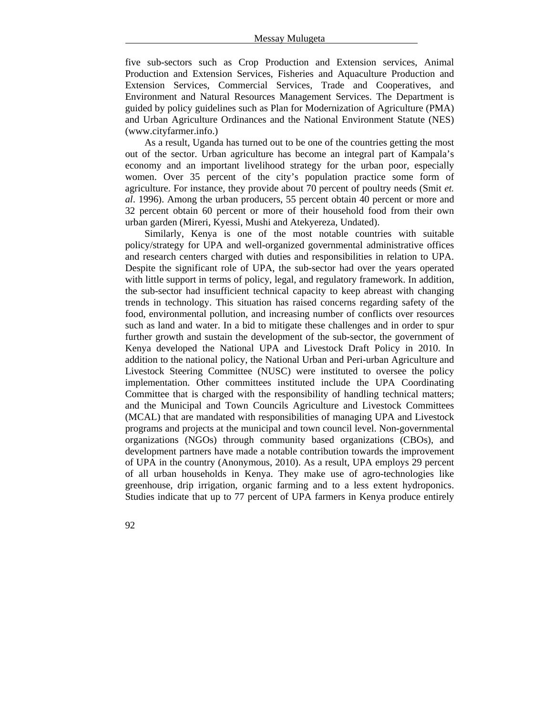five sub-sectors such as Crop Production and Extension services, Animal Production and Extension Services, Fisheries and Aquaculture Production and Extension Services, Commercial Services, Trade and Cooperatives, and Environment and Natural Resources Management Services. The Department is guided by policy guidelines such as Plan for Modernization of Agriculture (PMA) and Urban Agriculture Ordinances and the National Environment Statute (NES) (www.cityfarmer.info.)

As a result, Uganda has turned out to be one of the countries getting the most out of the sector. Urban agriculture has become an integral part of Kampala's economy and an important livelihood strategy for the urban poor, especially women. Over 35 percent of the city's population practice some form of agriculture. For instance, they provide about 70 percent of poultry needs (Smit *et. al*. 1996). Among the urban producers, 55 percent obtain 40 percent or more and 32 percent obtain 60 percent or more of their household food from their own urban garden (Mireri, Kyessi, Mushi and Atekyereza, Undated).

Similarly, Kenya is one of the most notable countries with suitable policy/strategy for UPA and well-organized governmental administrative offices and research centers charged with duties and responsibilities in relation to UPA. Despite the significant role of UPA, the sub-sector had over the years operated with little support in terms of policy, legal, and regulatory framework. In addition, the sub-sector had insufficient technical capacity to keep abreast with changing trends in technology. This situation has raised concerns regarding safety of the food, environmental pollution, and increasing number of conflicts over resources such as land and water. In a bid to mitigate these challenges and in order to spur further growth and sustain the development of the sub-sector, the government of Kenya developed the National UPA and Livestock Draft Policy in 2010. In addition to the national policy, the National Urban and Peri-urban Agriculture and Livestock Steering Committee (NUSC) were instituted to oversee the policy implementation. Other committees instituted include the UPA Coordinating Committee that is charged with the responsibility of handling technical matters; and the Municipal and Town Councils Agriculture and Livestock Committees (MCAL) that are mandated with responsibilities of managing UPA and Livestock programs and projects at the municipal and town council level. Non-governmental organizations (NGOs) through community based organizations (CBOs), and development partners have made a notable contribution towards the improvement of UPA in the country (Anonymous, 2010). As a result, UPA employs 29 percent of all urban households in Kenya. They make use of agro-technologies like greenhouse, drip irrigation, organic farming and to a less extent hydroponics. Studies indicate that up to 77 percent of UPA farmers in Kenya produce entirely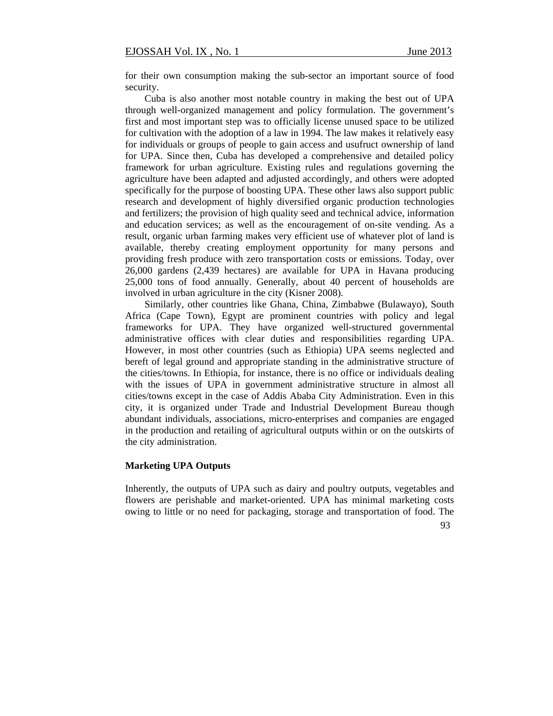for their own consumption making the sub-sector an important source of food security.

Cuba is also another most notable country in making the best out of UPA through well-organized management and policy formulation. The government's first and most important step was to officially license unused space to be utilized for cultivation with the adoption of a law in 1994. The law makes it relatively easy for individuals or groups of people to gain access and usufruct ownership of land for UPA. Since then, Cuba has developed a comprehensive and detailed policy framework for urban agriculture. Existing rules and regulations governing the agriculture have been adapted and adjusted accordingly, and others were adopted specifically for the purpose of boosting UPA. These other laws also support public research and development of highly diversified organic production technologies and fertilizers; the provision of high quality seed and technical advice, information and education services; as well as the encouragement of on-site vending. As a result, organic urban farming makes very efficient use of whatever plot of land is available, thereby creating employment opportunity for many persons and providing fresh produce with zero transportation costs or emissions. Today, over 26,000 gardens (2,439 hectares) are available for UPA in Havana producing 25,000 tons of food annually. Generally, about 40 percent of households are involved in urban agriculture in the city (Kisner 2008).

Similarly, other countries like Ghana, China, Zimbabwe (Bulawayo), South Africa (Cape Town), Egypt are prominent countries with policy and legal frameworks for UPA. They have organized well-structured governmental administrative offices with clear duties and responsibilities regarding UPA. However, in most other countries (such as Ethiopia) UPA seems neglected and bereft of legal ground and appropriate standing in the administrative structure of the cities/towns. In Ethiopia, for instance, there is no office or individuals dealing with the issues of UPA in government administrative structure in almost all cities/towns except in the case of Addis Ababa City Administration. Even in this city, it is organized under Trade and Industrial Development Bureau though abundant individuals, associations, micro-enterprises and companies are engaged in the production and retailing of agricultural outputs within or on the outskirts of the city administration.

#### **Marketing UPA Outputs**

Inherently, the outputs of UPA such as dairy and poultry outputs, vegetables and flowers are perishable and market-oriented. UPA has minimal marketing costs owing to little or no need for packaging, storage and transportation of food. The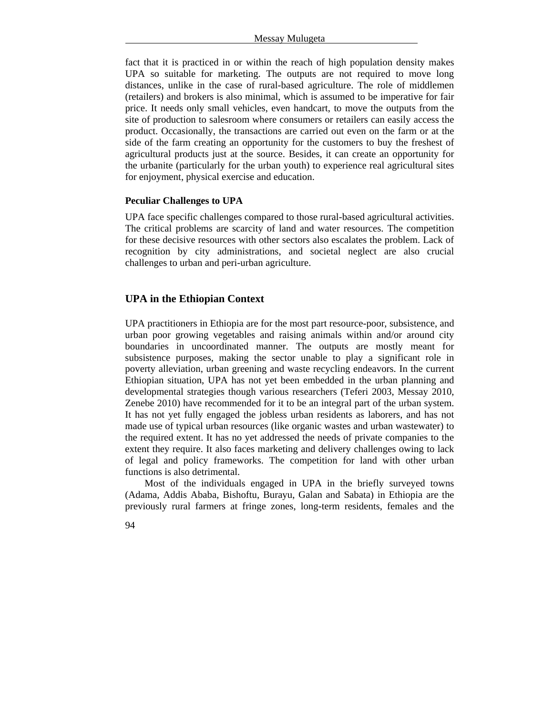fact that it is practiced in or within the reach of high population density makes UPA so suitable for marketing. The outputs are not required to move long distances, unlike in the case of rural-based agriculture. The role of middlemen (retailers) and brokers is also minimal, which is assumed to be imperative for fair price. It needs only small vehicles, even handcart, to move the outputs from the site of production to salesroom where consumers or retailers can easily access the product. Occasionally, the transactions are carried out even on the farm or at the side of the farm creating an opportunity for the customers to buy the freshest of agricultural products just at the source. Besides, it can create an opportunity for the urbanite (particularly for the urban youth) to experience real agricultural sites for enjoyment, physical exercise and education.

#### **Peculiar Challenges to UPA**

UPA face specific challenges compared to those rural-based agricultural activities. The critical problems are scarcity of land and water resources. The competition for these decisive resources with other sectors also escalates the problem. Lack of recognition by city administrations, and societal neglect are also crucial challenges to urban and peri-urban agriculture.

## **UPA in the Ethiopian Context**

UPA practitioners in Ethiopia are for the most part resource-poor, subsistence, and urban poor growing vegetables and raising animals within and/or around city boundaries in uncoordinated manner. The outputs are mostly meant for subsistence purposes, making the sector unable to play a significant role in poverty alleviation, urban greening and waste recycling endeavors. In the current Ethiopian situation, UPA has not yet been embedded in the urban planning and developmental strategies though various researchers (Teferi 2003, Messay 2010, Zenebe 2010) have recommended for it to be an integral part of the urban system. It has not yet fully engaged the jobless urban residents as laborers, and has not made use of typical urban resources (like organic wastes and urban wastewater) to the required extent. It has no yet addressed the needs of private companies to the extent they require. It also faces marketing and delivery challenges owing to lack of legal and policy frameworks. The competition for land with other urban functions is also detrimental.

Most of the individuals engaged in UPA in the briefly surveyed towns (Adama, Addis Ababa, Bishoftu, Burayu, Galan and Sabata) in Ethiopia are the previously rural farmers at fringe zones, long-term residents, females and the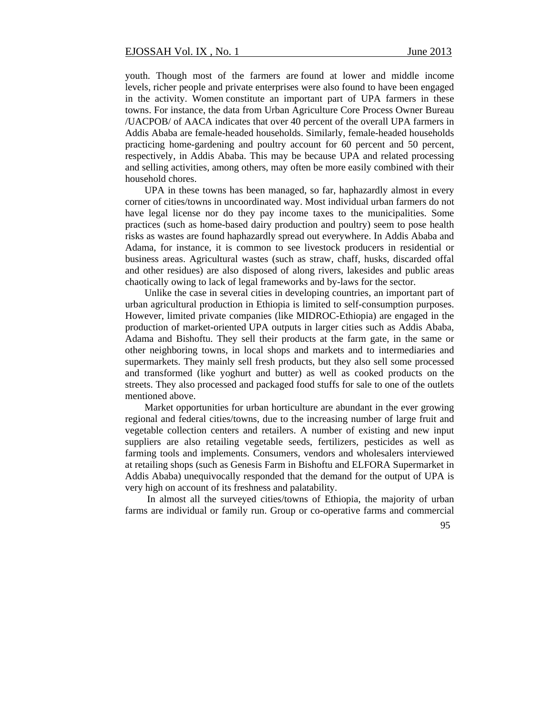youth. Though most of the farmers are found at lower and middle income levels, richer people and private enterprises were also found to have been engaged in the activity. Women constitute an important part of UPA farmers in these towns. For instance, the data from Urban Agriculture Core Process Owner Bureau /UACPOB/ of AACA indicates that over 40 percent of the overall UPA farmers in Addis Ababa are female-headed households. Similarly, female-headed households practicing home-gardening and poultry account for 60 percent and 50 percent, respectively, in Addis Ababa. This may be because UPA and related processing and selling activities, among others, may often be more easily combined with their household chores.

UPA in these towns has been managed, so far, haphazardly almost in every corner of cities/towns in uncoordinated way. Most individual urban farmers do not have legal license nor do they pay income taxes to the municipalities. Some practices (such as home-based dairy production and poultry) seem to pose health risks as wastes are found haphazardly spread out everywhere. In Addis Ababa and Adama, for instance, it is common to see livestock producers in residential or business areas. Agricultural wastes (such as straw, chaff, husks, discarded offal and other residues) are also disposed of along rivers, lakesides and public areas chaotically owing to lack of legal frameworks and by-laws for the sector.

Unlike the case in several cities in developing countries, an important part of urban agricultural production in Ethiopia is limited to self-consumption purposes. However, limited private companies (like MIDROC-Ethiopia) are engaged in the production of market-oriented UPA outputs in larger cities such as Addis Ababa, Adama and Bishoftu. They sell their products at the farm gate, in the same or other neighboring towns, in local shops and markets and to intermediaries and supermarkets. They mainly sell fresh products, but they also sell some processed and transformed (like yoghurt and butter) as well as cooked products on the streets. They also processed and packaged food stuffs for sale to one of the outlets mentioned above.

Market opportunities for urban horticulture are abundant in the ever growing regional and federal cities/towns, due to the increasing number of large fruit and vegetable collection centers and retailers. A number of existing and new input suppliers are also retailing vegetable seeds, fertilizers, pesticides as well as farming tools and implements. Consumers, vendors and wholesalers interviewed at retailing shops (such as Genesis Farm in Bishoftu and ELFORA Supermarket in Addis Ababa) unequivocally responded that the demand for the output of UPA is very high on account of its freshness and palatability.

In almost all the surveyed cities/towns of Ethiopia, the majority of urban farms are individual or family run. Group or co-operative farms and commercial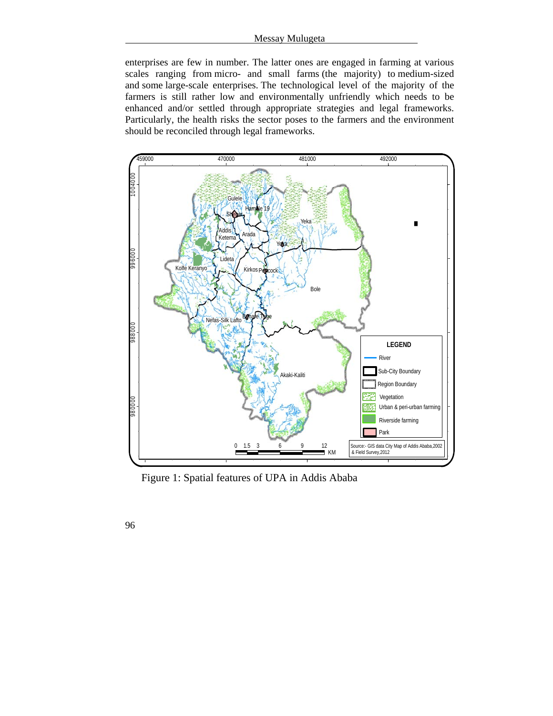enterprises are few in number. The latter ones are engaged in farming at various scales ranging from micro- and small farms (the majority) to medium-sized and some large-scale enterprises. The technological level of the majority of the farmers is still rather low and environmentally unfriendly which needs to be enhanced and/or settled through appropriate strategies and legal frameworks. Particularly, the health risks the sector poses to the farmers and the environment should be reconciled through legal frameworks.



Figure 1: Spatial features of UPA in Addis Ababa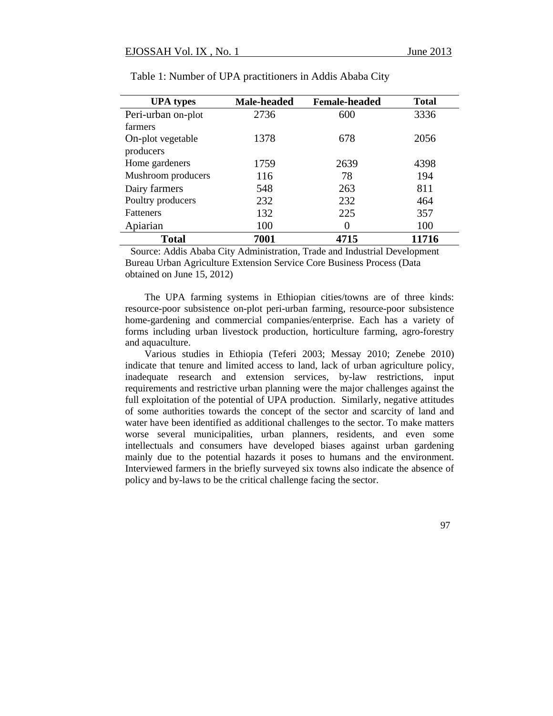| <b>UPA</b> types   | Male-headed | <b>Female-headed</b> | <b>Total</b> |
|--------------------|-------------|----------------------|--------------|
| Peri-urban on-plot | 2736        | 600                  | 3336         |
| farmers            |             |                      |              |
| On-plot vegetable  | 1378        | 678                  | 2056         |
| producers          |             |                      |              |
| Home gardeners     | 1759        | 2639                 | 4398         |
| Mushroom producers | 116         | 78                   | 194          |
| Dairy farmers      | 548         | 263                  | 811          |
| Poultry producers  | 232         | 232                  | 464          |
| <b>Fatteners</b>   | 132         | 225                  | 357          |
| Apiarian           | 100         | $\theta$             | 100          |
| <b>Total</b>       | 7001        | 4715                 | 11716        |

Table 1: Number of UPA practitioners in Addis Ababa City

 Source: Addis Ababa City Administration, Trade and Industrial Development Bureau Urban Agriculture Extension Service Core Business Process (Data obtained on June 15, 2012)

The UPA farming systems in Ethiopian cities/towns are of three kinds: resource-poor subsistence on-plot peri-urban farming, resource-poor subsistence home-gardening and commercial companies/enterprise. Each has a variety of forms including urban livestock production, horticulture farming, agro-forestry and aquaculture.

Various studies in Ethiopia (Teferi 2003; Messay 2010; Zenebe 2010) indicate that tenure and limited access to land, lack of urban agriculture policy, inadequate research and extension services, by-law restrictions, input requirements and restrictive urban planning were the major challenges against the full exploitation of the potential of UPA production. Similarly, negative attitudes of some authorities towards the concept of the sector and scarcity of land and water have been identified as additional challenges to the sector. To make matters worse several municipalities, urban planners, residents, and even some intellectuals and consumers have developed biases against urban gardening mainly due to the potential hazards it poses to humans and the environment. Interviewed farmers in the briefly surveyed six towns also indicate the absence of policy and by-laws to be the critical challenge facing the sector.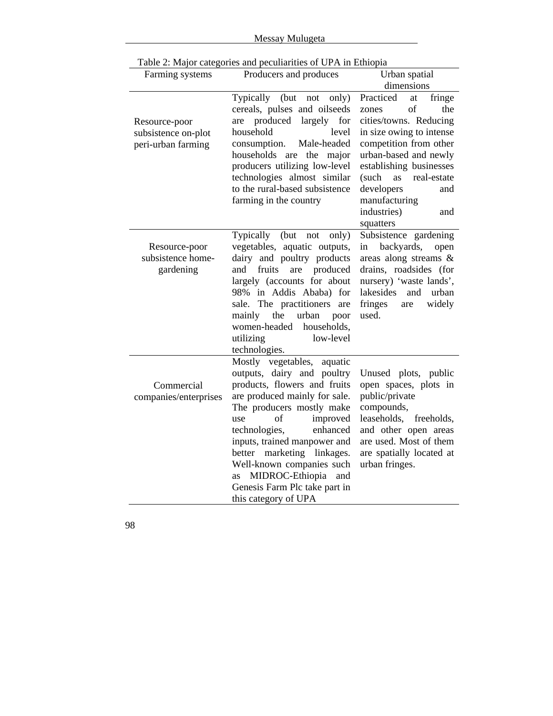| Messay Mulugeta |  |
|-----------------|--|
|                 |  |

| Farming systems                                            | Producers and produces                                                                                                                                                                                                                                                                                                                                                                           | Urban spatial                                                                                                                                                                                                                                                                              |
|------------------------------------------------------------|--------------------------------------------------------------------------------------------------------------------------------------------------------------------------------------------------------------------------------------------------------------------------------------------------------------------------------------------------------------------------------------------------|--------------------------------------------------------------------------------------------------------------------------------------------------------------------------------------------------------------------------------------------------------------------------------------------|
|                                                            |                                                                                                                                                                                                                                                                                                                                                                                                  | dimensions                                                                                                                                                                                                                                                                                 |
| Resource-poor<br>subsistence on-plot<br>peri-urban farming | Typically (but not only)<br>cereals, pulses and oilseeds<br>produced<br>largely for<br>are<br>household<br>level<br>Male-headed<br>consumption.<br>households<br>are the major<br>producers utilizing low-level<br>technologies almost similar<br>to the rural-based subsistence<br>farming in the country                                                                                       | Practiced<br>fringe<br>at<br>of<br>the<br>zones<br>cities/towns. Reducing<br>in size owing to intense<br>competition from other<br>urban-based and newly<br>establishing businesses<br>(such<br>as<br>real-estate<br>developers<br>and<br>manufacturing<br>industries)<br>and<br>squatters |
| Resource-poor<br>subsistence home-<br>gardening            | Typically<br>(but<br>only)<br>not<br>vegetables, aquatic outputs,<br>dairy and poultry products<br>fruits<br>produced<br>and<br>are<br>largely (accounts for about<br>98% in Addis Ababa) for<br>sale. The practitioners<br>are<br>the<br>urban<br>mainly<br>poor<br>women-headed households,<br>low-level<br>utilizing<br>technologies.                                                         | Subsistence gardening<br>backyards,<br>in<br>open<br>areas along streams &<br>drains, roadsides (for<br>nursery) 'waste lands',<br>lakesides<br>and<br>urban<br>fringes<br>widely<br>are<br>used.                                                                                          |
| Commercial<br>companies/enterprises                        | Mostly vegetables, aquatic<br>outputs, dairy and poultry<br>products, flowers and fruits<br>are produced mainly for sale.<br>The producers mostly make<br>of<br>improved<br>use<br>technologies,<br>enhanced<br>inputs, trained manpower and<br>better marketing linkages.<br>Well-known companies such<br>MIDROC-Ethiopia<br>and<br>as<br>Genesis Farm Plc take part in<br>this category of UPA | Unused plots, public<br>open spaces, plots in<br>public/private<br>compounds,<br>leaseholds, freeholds,<br>and other open areas<br>are used. Most of them<br>are spatially located at<br>urban fringes.                                                                                    |

Table 2: Major categories and peculiarities of UPA in Ethiopia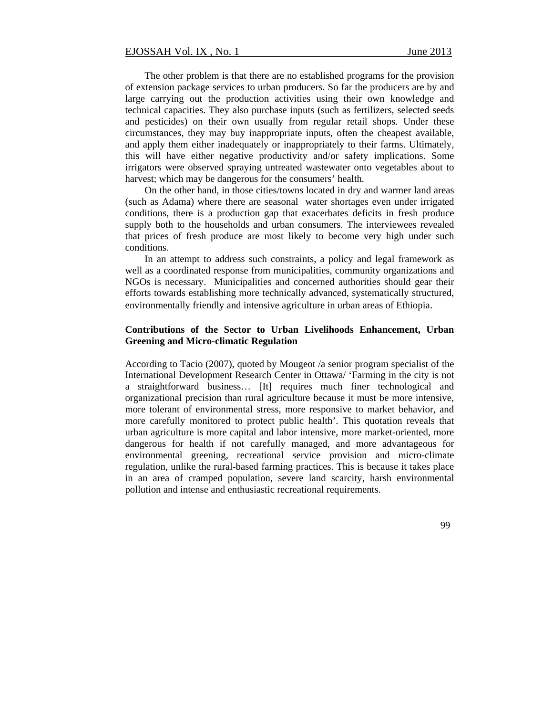The other problem is that there are no established programs for the provision of extension package services to urban producers. So far the producers are by and large carrying out the production activities using their own knowledge and technical capacities. They also purchase inputs (such as fertilizers, selected seeds and pesticides) on their own usually from regular retail shops. Under these circumstances, they may buy inappropriate inputs, often the cheapest available, and apply them either inadequately or inappropriately to their farms. Ultimately, this will have either negative productivity and/or safety implications. Some irrigators were observed spraying untreated wastewater onto vegetables about to harvest; which may be dangerous for the consumers' health.

On the other hand, in those cities/towns located in dry and warmer land areas (such as Adama) where there are seasonal water shortages even under irrigated conditions, there is a production gap that exacerbates deficits in fresh produce supply both to the households and urban consumers. The interviewees revealed that prices of fresh produce are most likely to become very high under such conditions.

In an attempt to address such constraints, a policy and legal framework as well as a coordinated response from municipalities, community organizations and NGOs is necessary. Municipalities and concerned authorities should gear their efforts towards establishing more technically advanced, systematically structured, environmentally friendly and intensive agriculture in urban areas of Ethiopia.

## **Contributions of the Sector to Urban Livelihoods Enhancement, Urban Greening and Micro-climatic Regulation**

According to Tacio (2007), quoted by Mougeot /a senior program specialist of the International Development Research Center in Ottawa/ 'Farming in the city is not a straightforward business… [It] requires much finer technological and organizational precision than rural agriculture because it must be more intensive, more tolerant of environmental stress, more responsive to market behavior, and more carefully monitored to protect public health'. This quotation reveals that urban agriculture is more capital and labor intensive, more market-oriented, more dangerous for health if not carefully managed, and more advantageous for environmental greening, recreational service provision and micro-climate regulation, unlike the rural-based farming practices. This is because it takes place in an area of cramped population, severe land scarcity, harsh environmental pollution and intense and enthusiastic recreational requirements.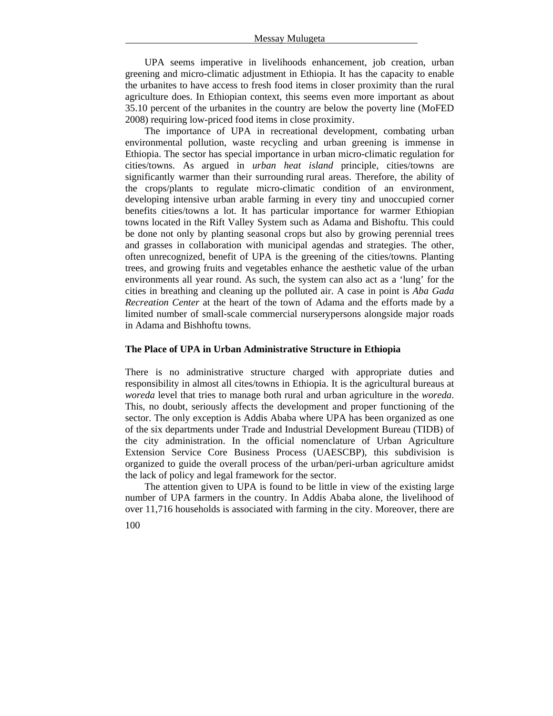UPA seems imperative in livelihoods enhancement, job creation, urban greening and micro-climatic adjustment in Ethiopia. It has the capacity to enable the urbanites to have access to fresh food items in closer proximity than the rural agriculture does. In Ethiopian context, this seems even more important as about 35.10 percent of the urbanites in the country are below the poverty line (MoFED 2008) requiring low-priced food items in close proximity.

The importance of UPA in recreational development, combating urban environmental pollution, waste recycling and urban greening is immense in Ethiopia. The sector has special importance in urban micro-climatic regulation for cities/towns. As argued in *urban heat island* principle, cities/towns are significantly warmer than their surrounding rural areas. Therefore, the ability of the crops/plants to regulate micro-climatic condition of an environment, developing intensive urban arable farming in every tiny and unoccupied corner benefits cities/towns a lot. It has particular importance for warmer Ethiopian towns located in the Rift Valley System such as Adama and Bishoftu. This could be done not only by planting seasonal crops but also by growing perennial trees and grasses in collaboration with municipal agendas and strategies. The other, often unrecognized, benefit of UPA is the greening of the cities/towns. Planting trees, and growing fruits and vegetables enhance the aesthetic value of the urban environments all year round. As such, the system can also act as a 'lung' for the cities in breathing and cleaning up the polluted air. A case in point is *Aba Gada Recreation Center* at the heart of the town of Adama and the efforts made by a limited number of small-scale commercial nurserypersons alongside major roads in Adama and Bishhoftu towns.

## **The Place of UPA in Urban Administrative Structure in Ethiopia**

There is no administrative structure charged with appropriate duties and responsibility in almost all cites/towns in Ethiopia. It is the agricultural bureaus at *woreda* level that tries to manage both rural and urban agriculture in the *woreda*. This, no doubt, seriously affects the development and proper functioning of the sector. The only exception is Addis Ababa where UPA has been organized as one of the six departments under Trade and Industrial Development Bureau (TIDB) of the city administration. In the official nomenclature of Urban Agriculture Extension Service Core Business Process (UAESCBP), this subdivision is organized to guide the overall process of the urban/peri-urban agriculture amidst the lack of policy and legal framework for the sector.

The attention given to UPA is found to be little in view of the existing large number of UPA farmers in the country. In Addis Ababa alone, the livelihood of over 11,716 households is associated with farming in the city. Moreover, there are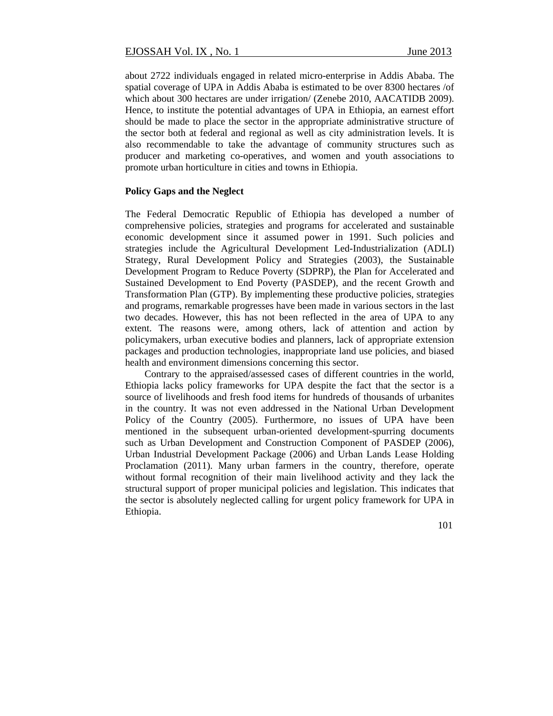about 2722 individuals engaged in related micro-enterprise in Addis Ababa. The spatial coverage of UPA in Addis Ababa is estimated to be over 8300 hectares /of which about 300 hectares are under irrigation/ (Zenebe 2010, AACATIDB 2009). Hence, to institute the potential advantages of UPA in Ethiopia, an earnest effort should be made to place the sector in the appropriate administrative structure of the sector both at federal and regional as well as city administration levels. It is also recommendable to take the advantage of community structures such as producer and marketing co-operatives, and women and youth associations to promote urban horticulture in cities and towns in Ethiopia.

### **Policy Gaps and the Neglect**

The Federal Democratic Republic of Ethiopia has developed a number of comprehensive policies, strategies and programs for accelerated and sustainable economic development since it assumed power in 1991. Such policies and strategies include the Agricultural Development Led-Industrialization (ADLI) Strategy, Rural Development Policy and Strategies (2003), the Sustainable Development Program to Reduce Poverty (SDPRP), the Plan for Accelerated and Sustained Development to End Poverty (PASDEP), and the recent Growth and Transformation Plan (GTP). By implementing these productive policies, strategies and programs, remarkable progresses have been made in various sectors in the last two decades. However, this has not been reflected in the area of UPA to any extent. The reasons were, among others, lack of attention and action by policymakers, urban executive bodies and planners, lack of appropriate extension packages and production technologies, inappropriate land use policies, and biased health and environment dimensions concerning this sector.

Contrary to the appraised/assessed cases of different countries in the world, Ethiopia lacks policy frameworks for UPA despite the fact that the sector is a source of livelihoods and fresh food items for hundreds of thousands of urbanites in the country. It was not even addressed in the National Urban Development Policy of the Country (2005). Furthermore, no issues of UPA have been mentioned in the subsequent urban-oriented development-spurring documents such as Urban Development and Construction Component of PASDEP (2006), Urban Industrial Development Package (2006) and Urban Lands Lease Holding Proclamation (2011). Many urban farmers in the country, therefore, operate without formal recognition of their main livelihood activity and they lack the structural support of proper municipal policies and legislation. This indicates that the sector is absolutely neglected calling for urgent policy framework for UPA in Ethiopia.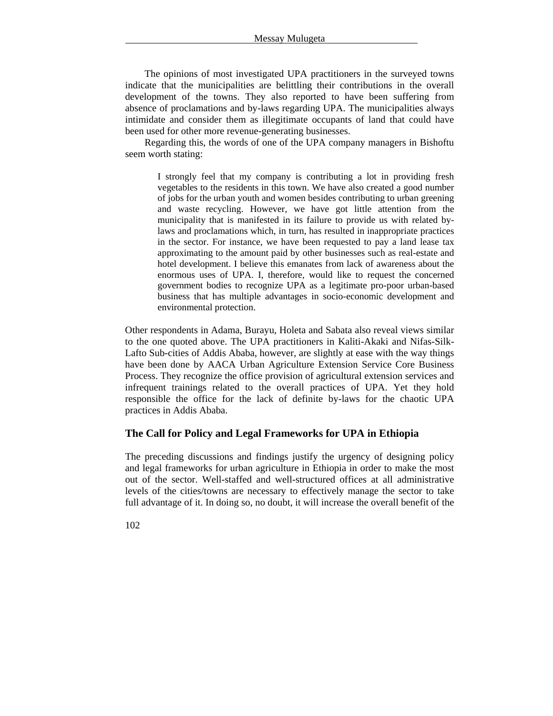The opinions of most investigated UPA practitioners in the surveyed towns indicate that the municipalities are belittling their contributions in the overall development of the towns. They also reported to have been suffering from absence of proclamations and by-laws regarding UPA. The municipalities always intimidate and consider them as illegitimate occupants of land that could have been used for other more revenue-generating businesses.

Regarding this, the words of one of the UPA company managers in Bishoftu seem worth stating:

I strongly feel that my company is contributing a lot in providing fresh vegetables to the residents in this town. We have also created a good number of jobs for the urban youth and women besides contributing to urban greening and waste recycling. However, we have got little attention from the municipality that is manifested in its failure to provide us with related bylaws and proclamations which, in turn, has resulted in inappropriate practices in the sector. For instance, we have been requested to pay a land lease tax approximating to the amount paid by other businesses such as real-estate and hotel development. I believe this emanates from lack of awareness about the enormous uses of UPA. I, therefore, would like to request the concerned government bodies to recognize UPA as a legitimate pro-poor urban-based business that has multiple advantages in socio-economic development and environmental protection.

Other respondents in Adama, Burayu, Holeta and Sabata also reveal views similar to the one quoted above. The UPA practitioners in Kaliti-Akaki and Nifas-Silk-Lafto Sub-cities of Addis Ababa, however, are slightly at ease with the way things have been done by AACA Urban Agriculture Extension Service Core Business Process. They recognize the office provision of agricultural extension services and infrequent trainings related to the overall practices of UPA. Yet they hold responsible the office for the lack of definite by-laws for the chaotic UPA practices in Addis Ababa.

## **The Call for Policy and Legal Frameworks for UPA in Ethiopia**

The preceding discussions and findings justify the urgency of designing policy and legal frameworks for urban agriculture in Ethiopia in order to make the most out of the sector. Well-staffed and well-structured offices at all administrative levels of the cities/towns are necessary to effectively manage the sector to take full advantage of it. In doing so, no doubt, it will increase the overall benefit of the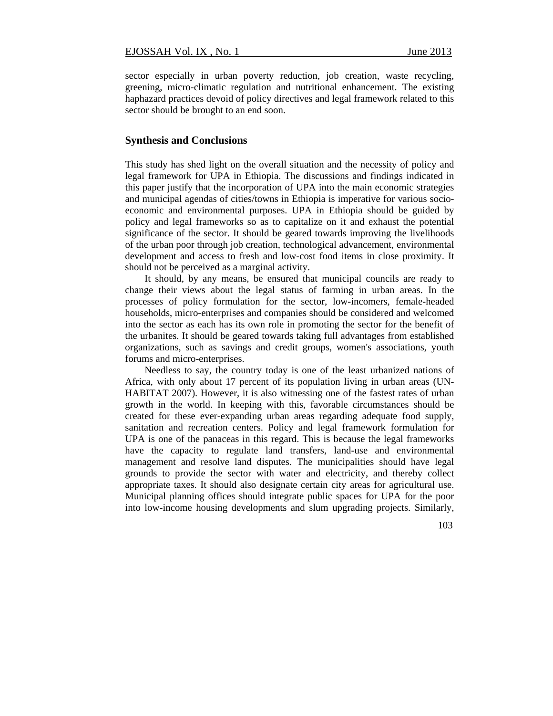sector especially in urban poverty reduction, job creation, waste recycling, greening, micro-climatic regulation and nutritional enhancement. The existing haphazard practices devoid of policy directives and legal framework related to this sector should be brought to an end soon.

#### **Synthesis and Conclusions**

This study has shed light on the overall situation and the necessity of policy and legal framework for UPA in Ethiopia. The discussions and findings indicated in this paper justify that the incorporation of UPA into the main economic strategies and municipal agendas of cities/towns in Ethiopia is imperative for various socioeconomic and environmental purposes. UPA in Ethiopia should be guided by policy and legal frameworks so as to capitalize on it and exhaust the potential significance of the sector. It should be geared towards improving the livelihoods of the urban poor through job creation, technological advancement, environmental development and access to fresh and low-cost food items in close proximity. It should not be perceived as a marginal activity.

It should, by any means, be ensured that municipal councils are ready to change their views about the legal status of farming in urban areas. In the processes of policy formulation for the sector, low-incomers, female-headed households, micro-enterprises and companies should be considered and welcomed into the sector as each has its own role in promoting the sector for the benefit of the urbanites. It should be geared towards taking full advantages from established organizations, such as savings and credit groups, women's associations, youth forums and micro-enterprises.

Needless to say, the country today is one of the least urbanized nations of Africa, with only about 17 percent of its population living in urban areas (UN-HABITAT 2007). However, it is also witnessing one of the fastest rates of urban growth in the world. In keeping with this, favorable circumstances should be created for these ever-expanding urban areas regarding adequate food supply, sanitation and recreation centers. Policy and legal framework formulation for UPA is one of the panaceas in this regard. This is because the legal frameworks have the capacity to regulate land transfers, land-use and environmental management and resolve land disputes. The municipalities should have legal grounds to provide the sector with water and electricity, and thereby collect appropriate taxes. It should also designate certain city areas for agricultural use. Municipal planning offices should integrate public spaces for UPA for the poor into low-income housing developments and slum upgrading projects. Similarly,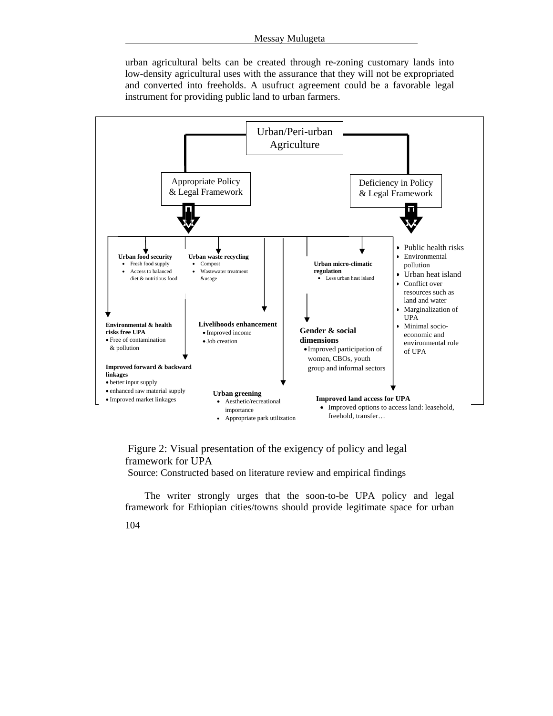urban agricultural belts can be created through re-zoning customary lands into low-density agricultural uses with the assurance that they will not be expropriated and converted into freeholds. A usufruct agreement could be a favorable legal instrument for providing public land to urban farmers.



 Figure 2: Visual presentation of the exigency of policy and legal framework for UPA

Source: Constructed based on literature review and empirical findings

The writer strongly urges that the soon-to-be UPA policy and legal framework for Ethiopian cities/towns should provide legitimate space for urban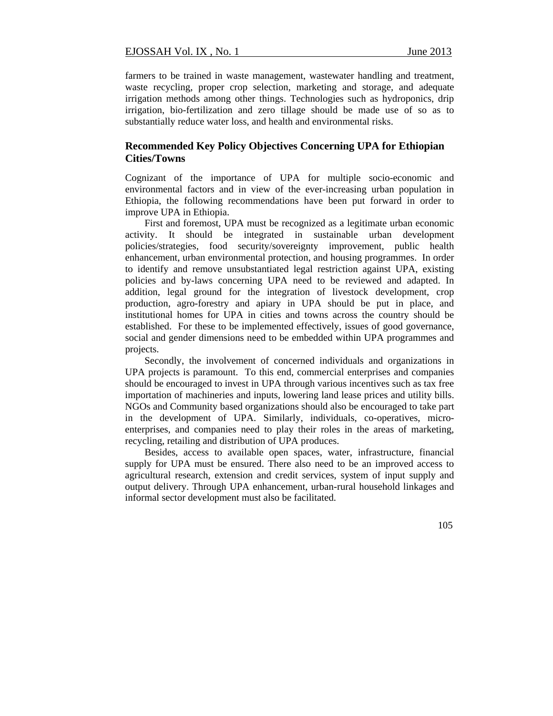farmers to be trained in waste management, wastewater handling and treatment, waste recycling, proper crop selection, marketing and storage, and adequate irrigation methods among other things. Technologies such as hydroponics, drip irrigation, bio-fertilization and zero tillage should be made use of so as to substantially reduce water loss, and health and environmental risks.

## **Recommended Key Policy Objectives Concerning UPA for Ethiopian Cities/Towns**

Cognizant of the importance of UPA for multiple socio-economic and environmental factors and in view of the ever-increasing urban population in Ethiopia, the following recommendations have been put forward in order to improve UPA in Ethiopia.

First and foremost, UPA must be recognized as a legitimate urban economic activity. It should be integrated in sustainable urban development policies/strategies, food security/sovereignty improvement, public health enhancement, urban environmental protection, and housing programmes. In order to identify and remove unsubstantiated legal restriction against UPA, existing policies and by-laws concerning UPA need to be reviewed and adapted. In addition, legal ground for the integration of livestock development, crop production, agro-forestry and apiary in UPA should be put in place, and institutional homes for UPA in cities and towns across the country should be established. For these to be implemented effectively, issues of good governance, social and gender dimensions need to be embedded within UPA programmes and projects.

Secondly, the involvement of concerned individuals and organizations in UPA projects is paramount. To this end, commercial enterprises and companies should be encouraged to invest in UPA through various incentives such as tax free importation of machineries and inputs, lowering land lease prices and utility bills. NGOs and Community based organizations should also be encouraged to take part in the development of UPA. Similarly, individuals, co-operatives, microenterprises, and companies need to play their roles in the areas of marketing, recycling, retailing and distribution of UPA produces.

Besides, access to available open spaces, water, infrastructure, financial supply for UPA must be ensured. There also need to be an improved access to agricultural research, extension and credit services, system of input supply and output delivery. Through UPA enhancement, urban-rural household linkages and informal sector development must also be facilitated.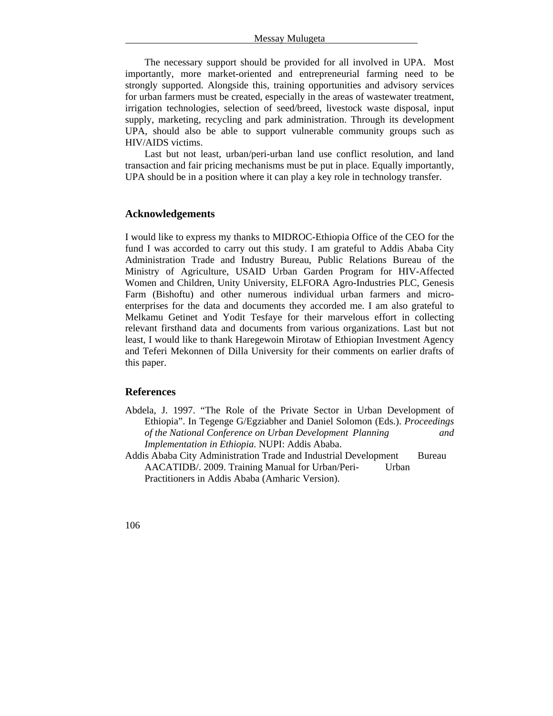The necessary support should be provided for all involved in UPA. Most importantly, more market-oriented and entrepreneurial farming need to be strongly supported. Alongside this, training opportunities and advisory services for urban farmers must be created, especially in the areas of wastewater treatment, irrigation technologies, selection of seed/breed, livestock waste disposal, input supply, marketing, recycling and park administration. Through its development UPA, should also be able to support vulnerable community groups such as HIV/AIDS victims.

Last but not least, urban/peri-urban land use conflict resolution, and land transaction and fair pricing mechanisms must be put in place. Equally importantly, UPA should be in a position where it can play a key role in technology transfer.

## **Acknowledgements**

I would like to express my thanks to MIDROC-Ethiopia Office of the CEO for the fund I was accorded to carry out this study. I am grateful to Addis Ababa City Administration Trade and Industry Bureau, Public Relations Bureau of the Ministry of Agriculture, USAID Urban Garden Program for HIV-Affected Women and Children, Unity University, ELFORA Agro-Industries PLC, Genesis Farm (Bishoftu) and other numerous individual urban farmers and microenterprises for the data and documents they accorded me. I am also grateful to Melkamu Getinet and Yodit Tesfaye for their marvelous effort in collecting relevant firsthand data and documents from various organizations. Last but not least, I would like to thank Haregewoin Mirotaw of Ethiopian Investment Agency and Teferi Mekonnen of Dilla University for their comments on earlier drafts of this paper.

## **References**

- Abdela, J. 1997. "The Role of the Private Sector in Urban Development of Ethiopia". In Tegenge G/Egziabher and Daniel Solomon (Eds.). *Proceedings of the National Conference on Urban Development Planning and Implementation in Ethiopia.* NUPI: Addis Ababa.
- Addis Ababa City Administration Trade and Industrial Development Bureau AACATIDB/. 2009. Training Manual for Urban/Peri- Urban Practitioners in Addis Ababa (Amharic Version).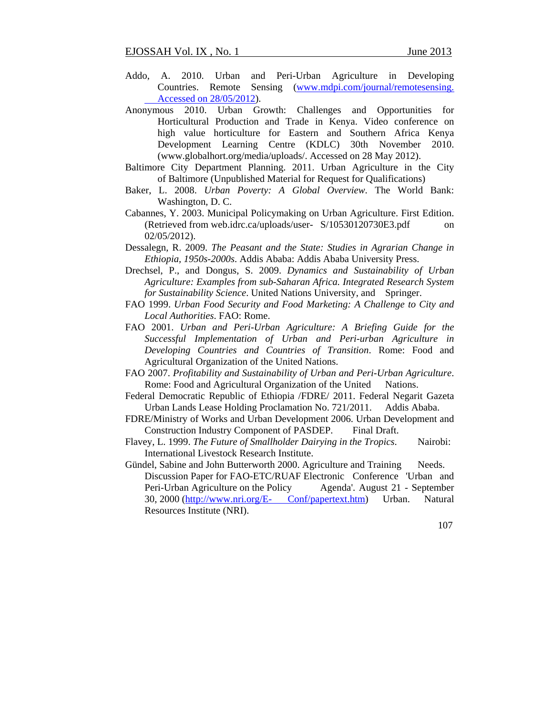- Addo, A. 2010. Urban and Peri-Urban Agriculture in Developing Countries. Remote Sensing (www.mdpi.com/journal/remotesensing. Accessed on 28/05/2012).
- Anonymous 2010. Urban Growth: Challenges and Opportunities for Horticultural Production and Trade in Kenya. Video conference on high value horticulture for Eastern and Southern Africa Kenya Development Learning Centre (KDLC) 30th November 2010. (www.globalhort.org/media/uploads/. Accessed on 28 May 2012).
- Baltimore City Department Planning. 2011. Urban Agriculture in the City of Baltimore (Unpublished Material for Request for Qualifications)
- Baker, L. 2008. *Urban Poverty: A Global Overview*. The World Bank: Washington, D. C.
- Cabannes, Y. 2003. Municipal Policymaking on Urban Agriculture. First Edition. (Retrieved from web.idrc.ca/uploads/user- S/10530120730E3.pdf on 02/05/2012).
- Dessalegn, R. 2009. *The Peasant and the State: Studies in Agrarian Change in Ethiopia, 1950s-2000s*. Addis Ababa: Addis Ababa University Press.
- Drechsel, P., and Dongus, S. 2009. *Dynamics and Sustainability of Urban Agriculture: Examples from sub-Saharan Africa. Integrated Research System for Sustainability Science*. United Nations University, and Springer.
- FAO 1999. *Urban Food Security and Food Marketing: A Challenge to City and Local Authorities*. FAO: Rome.
- FAO 2001. *Urban and Peri-Urban Agriculture: A Briefing Guide for the Successful Implementation of Urban and Peri-urban Agriculture in Developing Countries and Countries of Transition*. Rome: Food and Agricultural Organization of the United Nations.
- FAO 2007. *Profitability and Sustainability of Urban and Peri-Urban Agriculture*. Rome: Food and Agricultural Organization of the United Nations.
- Federal Democratic Republic of Ethiopia /FDRE/ 2011. Federal Negarit Gazeta Urban Lands Lease Holding Proclamation No. 721/2011. Addis Ababa.
- FDRE/Ministry of Works and Urban Development 2006. Urban Development and Construction Industry Component of PASDEP. Final Draft.
- Flavey, L. 1999. *The Future of Smallholder Dairying in the Tropics*. Nairobi: International Livestock Research Institute.
- Gündel, Sabine and John Butterworth 2000. Agriculture and Training Needs. Discussion Paper for FAO-ETC/RUAF Electronic Conference 'Urban and Peri-Urban Agriculture on the Policy Agenda'. August 21 - September 30, 2000 (http://www.nri.org/E- Conf/papertext.htm) Urban. Natural Resources Institute (NRI).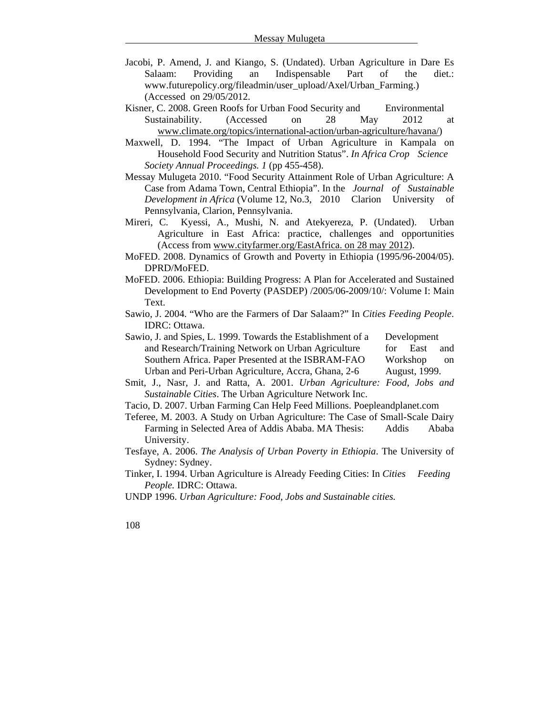- Jacobi, P. Amend, J. and Kiango, S. (Undated). Urban Agriculture in Dare Es Salaam: Providing an Indispensable Part of the diet.: www.futurepolicy.org/fileadmin/user\_upload/Axel/Urban\_Farming.) (Accessed on 29/05/2012.
- Kisner, C. 2008. Green Roofs for Urban Food Security and Environmental Sustainability. (Accessed on 28 May 2012 at www.climate.org/topics/international-action/urban-agriculture/havana/)
- Maxwell, D. 1994. "The Impact of Urban Agriculture in Kampala on Household Food Security and Nutrition Status". *In Africa Crop Science Society Annual Proceedings. 1* (pp 455-458).
- Messay Mulugeta 2010. "Food Security Attainment Role of Urban Agriculture: A Case from Adama Town, Central Ethiopia". In the *Journal of Sustainable Development in Africa* (Volume 12, No.3, 2010 Clarion University of Pennsylvania, Clarion, Pennsylvania.
- Mireri, C. Kyessi, A., Mushi, N. and Atekyereza, P. (Undated). Urban Agriculture in East Africa: practice, challenges and opportunities (Access from www.cityfarmer.org/EastAfrica. on 28 may 2012).
- MoFED. 2008. Dynamics of Growth and Poverty in Ethiopia (1995/96-2004/05). DPRD/MoFED.
- MoFED. 2006. Ethiopia: Building Progress: A Plan for Accelerated and Sustained Development to End Poverty (PASDEP) /2005/06-2009/10/: Volume I: Main Text.
- Sawio, J. 2004. "Who are the Farmers of Dar Salaam?" In *Cities Feeding People*. IDRC: Ottawa.
- Sawio, J. and Spies, L. 1999. Towards the Establishment of a Development and Research/Training Network on Urban Agriculture for East and Southern Africa. Paper Presented at the ISBRAM-FAO Workshop on Urban and Peri-Urban Agriculture, Accra, Ghana, 2-6 August, 1999.
- Smit, J., Nasr, J. and Ratta, A. 2001. *Urban Agriculture: Food, Jobs and Sustainable Cities*. The Urban Agriculture Network Inc.
- Tacio, D. 2007. Urban Farming Can Help Feed Millions. Poepleandplanet.com
- Teferee, M. 2003. A Study on Urban Agriculture: The Case of Small-Scale Dairy Farming in Selected Area of Addis Ababa. MA Thesis: Addis Ababa University.
- Tesfaye, A. 2006. *The Analysis of Urban Poverty in Ethiopia*. The University of Sydney: Sydney.
- Tinker, I. 1994. Urban Agriculture is Already Feeding Cities: In *Cities Feeding People.* IDRC: Ottawa.
- UNDP 1996. *Urban Agriculture: Food, Jobs and Sustainable cities.*